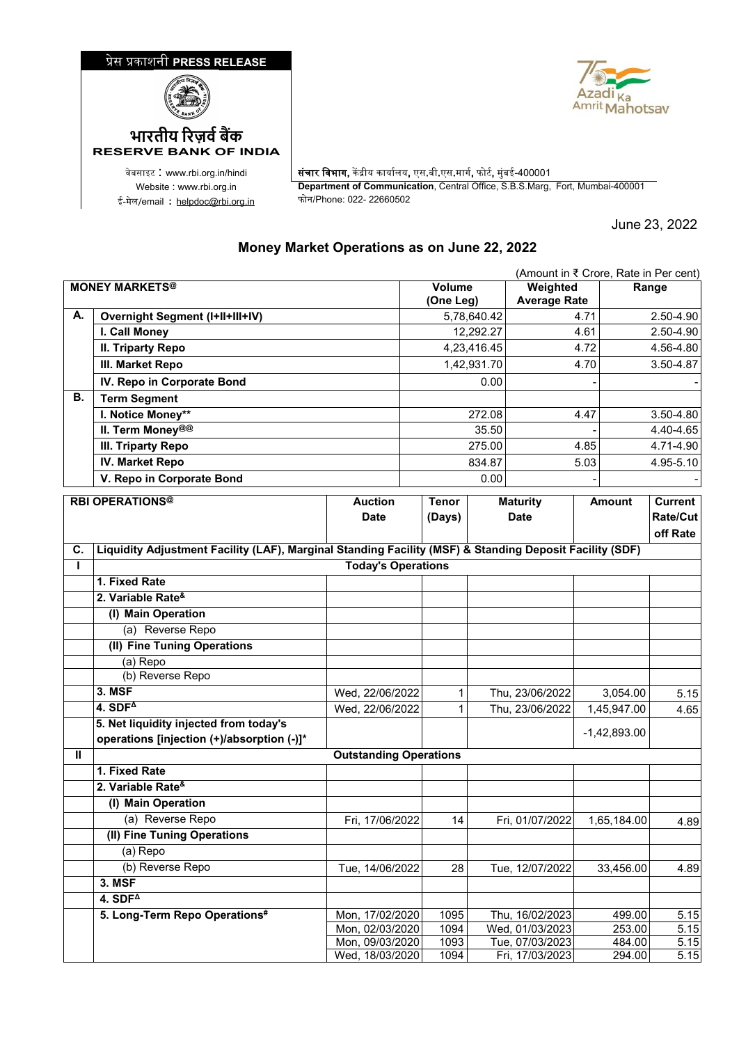## �ेस �काशनी **PRESS RELEASE**





ई-मेल/email : <u>[helpdoc@rbi.org.in](mailto:helpdoc@rbi.org.in)</u>

**RESERVE BANK OF INDIA**

वेबसाइट : www.rbi.org.in/hindi <mark>| संचार विभाग,</mark> केंद्रीय कार्यालय, एस.बी.एस.मार्ग, फोर्ट, मुंबई-400001 Website : www.rbi.org.in **Department of Communication**, Central Office, S.B.S.Marg, Fort, Mumbai-400001

June 23, 2022

## **Money Market Operations as on June 22, 2022**

|                       | (Amount in ₹ Crore, Rate in Per cent)                                                                   |                                    |              |                                 |                 |                                    |               |                  |              |
|-----------------------|---------------------------------------------------------------------------------------------------------|------------------------------------|--------------|---------------------------------|-----------------|------------------------------------|---------------|------------------|--------------|
| <b>MONEY MARKETS®</b> |                                                                                                         | Volume<br>(One Leg)                |              | Weighted<br><b>Average Rate</b> |                 | Range                              |               |                  |              |
| А.                    | <b>Overnight Segment (I+II+III+IV)</b>                                                                  |                                    |              |                                 | 5,78,640.42     |                                    | 4.71          |                  | 2.50-4.90    |
|                       | I. Call Money                                                                                           |                                    |              |                                 | 12,292.27       |                                    | 4.61          |                  | 2.50-4.90    |
|                       | <b>II. Triparty Repo</b>                                                                                |                                    |              |                                 | 4,23,416.45     |                                    | 4.72          |                  | 4.56-4.80    |
|                       | III. Market Repo                                                                                        |                                    |              |                                 | 1,42,931.70     |                                    | 4.70          |                  | 3.50-4.87    |
|                       | IV. Repo in Corporate Bond                                                                              |                                    |              |                                 | 0.00            |                                    |               |                  |              |
| В.                    | <b>Term Segment</b>                                                                                     |                                    |              |                                 |                 |                                    |               |                  |              |
|                       | I. Notice Money**                                                                                       |                                    |              |                                 | 272.08          |                                    | 4.47          |                  | 3.50-4.80    |
|                       | II. Term Money@@                                                                                        |                                    |              |                                 | 35.50           |                                    |               |                  | 4.40-4.65    |
|                       | III. Triparty Repo                                                                                      |                                    |              | 275.00                          |                 | 4.85                               |               |                  | 4.71-4.90    |
|                       | <b>IV. Market Repo</b>                                                                                  |                                    |              |                                 | 834.87          |                                    | 5.03          |                  | 4.95-5.10    |
|                       | V. Repo in Corporate Bond                                                                               |                                    | 0.00         |                                 |                 |                                    |               |                  |              |
|                       | <b>RBI OPERATIONS®</b>                                                                                  | <b>Auction</b>                     | <b>Tenor</b> |                                 | <b>Maturity</b> |                                    | <b>Amount</b> | <b>Current</b>   |              |
|                       |                                                                                                         | <b>Date</b>                        |              | (Days)                          |                 | <b>Date</b>                        |               |                  | Rate/Cut     |
|                       |                                                                                                         |                                    |              |                                 |                 |                                    |               |                  | off Rate     |
| C.                    | Liquidity Adjustment Facility (LAF), Marginal Standing Facility (MSF) & Standing Deposit Facility (SDF) |                                    |              |                                 |                 |                                    |               |                  |              |
| L                     |                                                                                                         | <b>Today's Operations</b>          |              |                                 |                 |                                    |               |                  |              |
|                       | 1. Fixed Rate                                                                                           |                                    |              |                                 |                 |                                    |               |                  |              |
|                       | 2. Variable Rate <sup>&amp;</sup>                                                                       |                                    |              |                                 |                 |                                    |               |                  |              |
|                       | (I) Main Operation                                                                                      |                                    |              |                                 |                 |                                    |               |                  |              |
|                       | (a) Reverse Repo                                                                                        |                                    |              |                                 |                 |                                    |               |                  |              |
|                       | (II) Fine Tuning Operations                                                                             |                                    |              |                                 |                 |                                    |               |                  |              |
|                       | (a) Repo                                                                                                |                                    |              |                                 |                 |                                    |               |                  |              |
|                       | (b) Reverse Repo                                                                                        |                                    |              |                                 |                 |                                    |               |                  |              |
|                       | 3. MSF                                                                                                  | Wed, 22/06/2022                    |              | 1                               |                 | Thu, 23/06/2022                    |               | 3,054.00         | 5.15         |
|                       | 4. $SDF4$                                                                                               | Wed, 22/06/2022                    |              | 1                               |                 | Thu, 23/06/2022                    |               | 1,45,947.00      | 4.65         |
|                       | 5. Net liquidity injected from today's                                                                  |                                    |              |                                 |                 |                                    |               | $-1,42,893.00$   |              |
|                       | operations [injection (+)/absorption (-)]*                                                              |                                    |              |                                 |                 |                                    |               |                  |              |
| Ш                     |                                                                                                         | <b>Outstanding Operations</b>      |              |                                 |                 |                                    |               |                  |              |
|                       | 1. Fixed Rate                                                                                           |                                    |              |                                 |                 |                                    |               |                  |              |
|                       | 2. Variable Rate <sup>&amp;</sup>                                                                       |                                    |              |                                 |                 |                                    |               |                  |              |
|                       | (I) Main Operation                                                                                      |                                    |              |                                 |                 |                                    |               |                  |              |
|                       | (a) Reverse Repo                                                                                        | Fri, 17/06/2022                    |              | 14                              |                 | Fri, 01/07/2022                    |               | 1,65,184.00      | 4.89         |
|                       | (II) Fine Tuning Operations                                                                             |                                    |              |                                 |                 |                                    |               |                  |              |
|                       | (a) Repo                                                                                                |                                    |              |                                 |                 |                                    |               |                  |              |
|                       | (b) Reverse Repo                                                                                        | Tue, 14/06/2022                    |              | 28                              |                 | Tue, 12/07/2022                    |               | 33,456.00        | 4.89         |
|                       | <b>3. MSF</b>                                                                                           |                                    |              |                                 |                 |                                    |               |                  |              |
|                       | $4.$ SDF <sup><math>\triangle</math></sup>                                                              |                                    |              |                                 |                 |                                    |               |                  |              |
|                       | 5. Long-Term Repo Operations#                                                                           | Mon, 17/02/2020                    |              | 1095                            |                 | Thu, 16/02/2023                    |               | 499.00           | 5.15         |
|                       |                                                                                                         | Mon, 02/03/2020                    |              | 1094                            |                 | Wed, 01/03/2023                    |               | 253.00           | 5.15         |
|                       |                                                                                                         | Mon, 09/03/2020<br>Wed, 18/03/2020 |              | 1093<br>1094                    |                 | Tue, 07/03/2023<br>Fri, 17/03/2023 |               | 484.00<br>294.00 | 5.15<br>5.15 |
|                       |                                                                                                         |                                    |              |                                 |                 |                                    |               |                  |              |